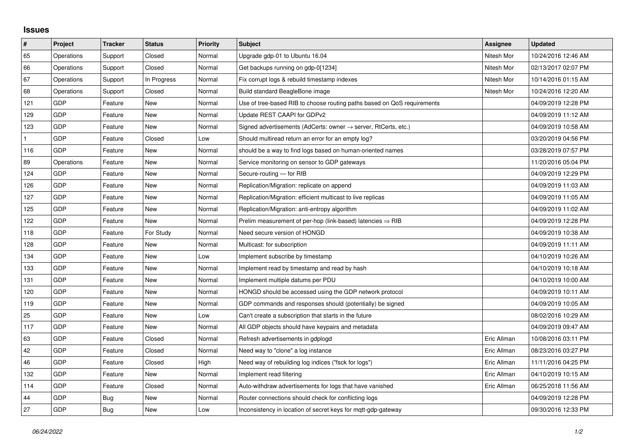## **Issues**

| $\vert$ #    | Project    | <b>Tracker</b> | <b>Status</b> | <b>Priority</b> | <b>Subject</b>                                                             | <b>Assignee</b> | <b>Updated</b>      |
|--------------|------------|----------------|---------------|-----------------|----------------------------------------------------------------------------|-----------------|---------------------|
| 65           | Operations | Support        | Closed        | Normal          | Upgrade gdp-01 to Ubuntu 16.04                                             | Nitesh Mor      | 10/24/2016 12:46 AM |
| 66           | Operations | Support        | Closed        | Normal          | Get backups running on gdp-0[1234]                                         | Nitesh Mor      | 02/13/2017 02:07 PM |
| 67           | Operations | Support        | In Progress   | Normal          | Fix corrupt logs & rebuild timestamp indexes                               | Nitesh Mor      | 10/14/2016 01:15 AM |
| 68           | Operations | Support        | Closed        | Normal          | Build standard BeagleBone image                                            | Nitesh Mor      | 10/24/2016 12:20 AM |
| 121          | GDP        | Feature        | <b>New</b>    | Normal          | Use of tree-based RIB to choose routing paths based on QoS requirements    |                 | 04/09/2019 12:28 PM |
| 129          | <b>GDP</b> | Feature        | New           | Normal          | Update REST CAAPI for GDPv2                                                |                 | 04/09/2019 11:12 AM |
| 123          | <b>GDP</b> | Feature        | <b>New</b>    | Normal          | Signed advertisements (AdCerts: owner $\rightarrow$ server, RtCerts, etc.) |                 | 04/09/2019 10:58 AM |
| $\mathbf{1}$ | <b>GDP</b> | Feature        | Closed        | Low             | Should multiread return an error for an empty log?                         |                 | 03/20/2019 04:56 PM |
| 116          | <b>GDP</b> | Feature        | New           | Normal          | should be a way to find logs based on human-oriented names                 |                 | 03/28/2019 07:57 PM |
| 89           | Operations | Feature        | <b>New</b>    | Normal          | Service monitoring on sensor to GDP gateways                               |                 | 11/20/2016 05:04 PM |
| 124          | <b>GDP</b> | Feature        | <b>New</b>    | Normal          | Secure-routing - for RIB                                                   |                 | 04/09/2019 12:29 PM |
| 126          | <b>GDP</b> | Feature        | New           | Normal          | Replication/Migration: replicate on append                                 |                 | 04/09/2019 11:03 AM |
| 127          | <b>GDP</b> | Feature        | <b>New</b>    | Normal          | Replication/Migration: efficient multicast to live replicas                |                 | 04/09/2019 11:05 AM |
| 125          | <b>GDP</b> | Feature        | <b>New</b>    | Normal          | Replication/Migration: anti-entropy algorithm                              |                 | 04/09/2019 11:02 AM |
| 122          | <b>GDP</b> | Feature        | New           | Normal          | Prelim measurement of per-hop (link-based) latencies $\Rightarrow$ RIB     |                 | 04/09/2019 12:28 PM |
| 118          | <b>GDP</b> | Feature        | For Study     | Normal          | Need secure version of HONGD                                               |                 | 04/09/2019 10:38 AM |
| 128          | <b>GDP</b> | Feature        | <b>New</b>    | Normal          | Multicast: for subscription                                                |                 | 04/09/2019 11:11 AM |
| 134          | <b>GDP</b> | Feature        | New           | Low             | Implement subscribe by timestamp                                           |                 | 04/10/2019 10:26 AM |
| 133          | GDP        | Feature        | <b>New</b>    | Normal          | Implement read by timestamp and read by hash                               |                 | 04/10/2019 10:18 AM |
| 131          | GDP        | Feature        | New           | Normal          | Implement multiple datums per PDU                                          |                 | 04/10/2019 10:00 AM |
| 120          | <b>GDP</b> | Feature        | New           | Normal          | HONGD should be accessed using the GDP network protocol                    |                 | 04/09/2019 10:11 AM |
| 119          | <b>GDP</b> | Feature        | New           | Normal          | GDP commands and responses should (potentially) be signed                  |                 | 04/09/2019 10:05 AM |
| 25           | <b>GDP</b> | Feature        | New           | Low             | Can't create a subscription that starts in the future                      |                 | 08/02/2016 10:29 AM |
| 117          | <b>GDP</b> | Feature        | New           | Normal          | All GDP objects should have keypairs and metadata                          |                 | 04/09/2019 09:47 AM |
| 63           | GDP        | Feature        | Closed        | Normal          | Refresh advertisements in gdplogd                                          | Eric Allman     | 10/08/2016 03:11 PM |
| 42           | <b>GDP</b> | Feature        | Closed        | Normal          | Need way to "clone" a log instance                                         | Eric Allman     | 08/23/2016 03:27 PM |
| 46           | <b>GDP</b> | Feature        | Closed        | High            | Need way of rebuilding log indices ("fsck for logs")                       | Eric Allman     | 11/11/2016 04:25 PM |
| 132          | GDP        | Feature        | New           | Normal          | Implement read filtering                                                   | Eric Allman     | 04/10/2019 10:15 AM |
| 114          | <b>GDP</b> | Feature        | Closed        | Normal          | Auto-withdraw advertisements for logs that have vanished                   | Eric Allman     | 06/25/2018 11:56 AM |
| 44           | <b>GDP</b> | Bug            | New           | Normal          | Router connections should check for conflicting logs                       |                 | 04/09/2019 12:28 PM |
| 27           | <b>GDP</b> | Bug            | New           | Low             | Inconsistency in location of secret keys for mgtt-gdp-gateway              |                 | 09/30/2016 12:33 PM |